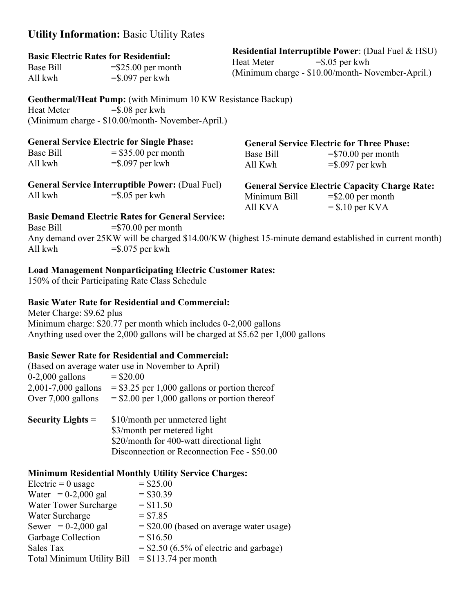## Utility Information: Basic Utility Rates

## Basic Electric Rates for Residential:

All kwh  $= $.097$  per kwh

Base Bill  $= $25.00$  per month  $- $0.07$  per month (Minimum charge - \$10.00/month- November-April.) Residential Interruptible Power: (Dual Fuel & HSU) Heat Meter  $= $.05$  per kwh

Geothermal/Heat Pump: (with Minimum 10 KW Resistance Backup) Heat Meter  $= $.08$  per kwh (Minimum charge - \$10.00/month- November-April.)

| <b>General Service Electric for Single Phase:</b>       |                                             | <b>General Service Electric for Three Phase:</b>      |                                            |
|---------------------------------------------------------|---------------------------------------------|-------------------------------------------------------|--------------------------------------------|
| Base Bill<br>All kwh                                    | $=$ \$35.00 per month<br>$=$ \$.097 per kwh | <b>Base Bill</b><br>All Kwh                           | $= $70.00$ per month<br>$=$ \$.097 per kwh |
| <b>General Service Interruptible Power: (Dual Fuel)</b> |                                             | <b>General Service Electric Capacity Charge Rate:</b> |                                            |
| All kwh                                                 | $=$ \$.05 per kwh                           | Minimum Bill<br>All KVA                               | $= $2.00$ per month<br>$=$ \$.10 per KVA   |
| <b>Basic Demand Electric Rates for General Service:</b> |                                             |                                                       |                                            |

Base Bill  $= $70.00$  per month Any demand over 25KW will be charged \$14.00/KW (highest 15-minute demand established in current month) All kwh  $= $.075$  per kwh

## Load Management Nonparticipating Electric Customer Rates:

150% of their Participating Rate Class Schedule

### Basic Water Rate for Residential and Commercial:

Meter Charge: \$9.62 plus Minimum charge: \$20.77 per month which includes 0-2,000 gallons Anything used over the 2,000 gallons will be charged at \$5.62 per 1,000 gallons

Disconnection or Reconnection Fee - \$50.00

#### Basic Sewer Rate for Residential and Commercial:

|                     | (Based on average water use in November to April) |  |  |
|---------------------|---------------------------------------------------|--|--|
| $0-2,000$ gallons   | $=$ \$20.00                                       |  |  |
| 2,001-7,000 gallons | $=$ \$3.25 per 1,000 gallons or portion thereof   |  |  |
| Over 7,000 gallons  | $=$ \$2.00 per 1,000 gallons or portion thereof   |  |  |
| Security Lights $=$ | \$10/month per unmetered light                    |  |  |
|                     | \$3/month per metered light                       |  |  |
|                     | \$20/month for 400-watt directional light         |  |  |

# Minimum Residential Monthly Utility Service Charges:

| Electric $= 0$ usage       | $=$ \$25.00                               |
|----------------------------|-------------------------------------------|
| Water = $0-2,000$ gal      | $= $30.39$                                |
| Water Tower Surcharge      | $= $11.50$                                |
| Water Surcharge            | $= $7.85$                                 |
| Sewer = $0-2,000$ gal      | $= $20.00$ (based on average water usage) |
| Garbage Collection         | $=$ \$16.50                               |
| Sales Tax                  | $=$ \$2.50 (6.5% of electric and garbage) |
| Total Minimum Utility Bill | $=$ \$113.74 per month                    |